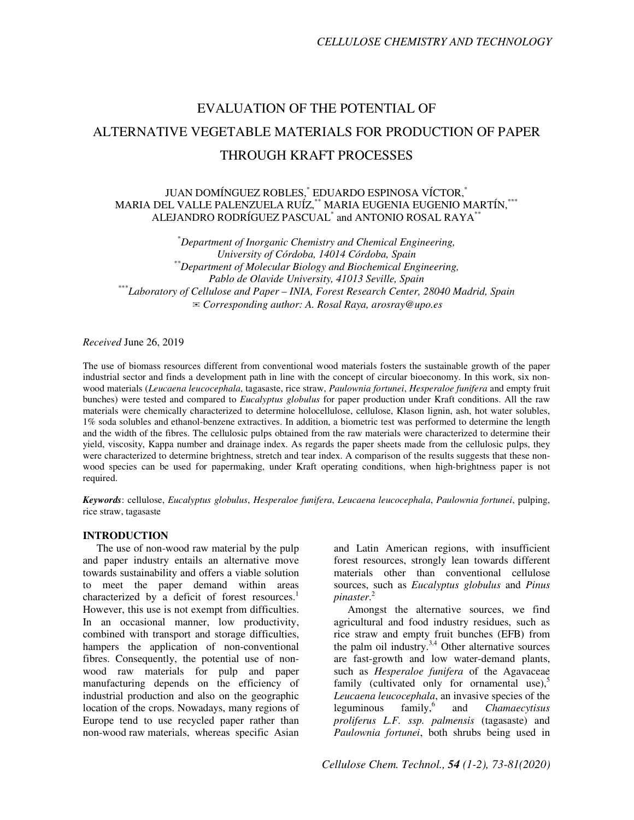# EVALUATION OF THE POTENTIAL OF ALTERNATIVE VEGETABLE MATERIALS FOR PRODUCTION OF PAPER THROUGH KRAFT PROCESSES

JUAN DOMÍNGUEZ ROBLES,\* EDUARDO ESPINOSA VÍCTOR,\* MARIA DEL VALLE PALENZUELA RUÍZ,\*\* MARIA EUGENIA EUGENIO MARTÍN,\*\*\* ALEJANDRO RODRÍGUEZ PASCUAL $^{\ast}$  and ANTONIO ROSAL RAYA $^{\ast\ast}$ 

\**Department of Inorganic Chemistry and Chemical Engineering, University of Córdoba, 14014 Córdoba, Spain \*\*Department of Molecular Biology and Biochemical Engineering, Pablo de Olavide University, 41013 Seville, Spain* \*\*\**Laboratory of Cellulose and Paper – INIA, Forest Research Center, 28040 Madrid, Spain* ✉*Corresponding author: A. Rosal Raya, arosray@upo.es*

## *Received* June 26, 2019

The use of biomass resources different from conventional wood materials fosters the sustainable growth of the paper industrial sector and finds a development path in line with the concept of circular bioeconomy. In this work, six nonwood materials (*Leucaena leucocephala*, tagasaste, rice straw, *Paulownia fortunei*, *Hesperaloe funifera* and empty fruit bunches) were tested and compared to *Eucalyptus globulus* for paper production under Kraft conditions. All the raw materials were chemically characterized to determine holocellulose, cellulose, Klason lignin, ash, hot water solubles, 1% soda solubles and ethanol-benzene extractives. In addition, a biometric test was performed to determine the length and the width of the fibres. The cellulosic pulps obtained from the raw materials were characterized to determine their yield, viscosity, Kappa number and drainage index. As regards the paper sheets made from the cellulosic pulps, they were characterized to determine brightness, stretch and tear index. A comparison of the results suggests that these nonwood species can be used for papermaking, under Kraft operating conditions, when high-brightness paper is not required.

*Keywords*: cellulose, *Eucalyptus globulus*, *Hesperaloe funifera*, *Leucaena leucocephala*, *Paulownia fortunei*, pulping, rice straw, tagasaste

## **INTRODUCTION**

The use of non-wood raw material by the pulp and paper industry entails an alternative move towards sustainability and offers a viable solution to meet the paper demand within areas characterized by a deficit of forest resources.<sup>1</sup> However, this use is not exempt from difficulties. In an occasional manner, low productivity, combined with transport and storage difficulties, hampers the application of non-conventional fibres. Consequently, the potential use of nonwood raw materials for pulp and paper manufacturing depends on the efficiency of industrial production and also on the geographic location of the crops. Nowadays, many regions of Europe tend to use recycled paper rather than non-wood raw materials, whereas specific Asian and Latin American regions, with insufficient forest resources, strongly lean towards different materials other than conventional cellulose sources, such as *Eucalyptus globulus* and *Pinus pinaster*. 2

Amongst the alternative sources, we find agricultural and food industry residues, such as rice straw and empty fruit bunches (EFB) from the palm oil industry. $3,4$  Other alternative sources are fast-growth and low water-demand plants, such as *Hesperaloe funifera* of the Agavaceae family (cultivated only for ornamental use),<sup>5</sup> *Leucaena leucocephala*, an invasive species of the  $leq$ uminous family,  $6<sup>6</sup>$  and *Chamaecytisus proliferus L.F. ssp. palmensis* (tagasaste) and *Paulownia fortunei*, both shrubs being used in

*Cellulose Chem. Technol., 54 (1-2), 73-81(2020)*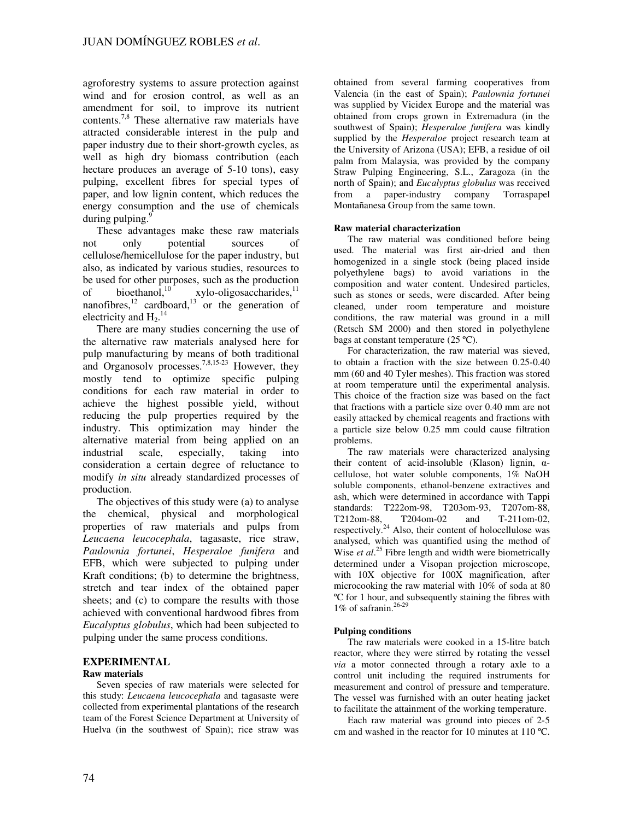agroforestry systems to assure protection against wind and for erosion control, as well as an amendment for soil, to improve its nutrient contents.7,8 These alternative raw materials have attracted considerable interest in the pulp and paper industry due to their short-growth cycles, as well as high dry biomass contribution (each hectare produces an average of 5-10 tons), easy pulping, excellent fibres for special types of paper, and low lignin content, which reduces the energy consumption and the use of chemicals during pulping. $\frac{9}{2}$ 

These advantages make these raw materials not only potential sources of cellulose/hemicellulose for the paper industry, but also, as indicated by various studies, resources to be used for other purposes, such as the production<br>of bioethanol.<sup>10</sup> xylo-oligosaccharides.<sup>11</sup> of bioethanol,<sup>10</sup> xylo-oligosaccharides,<sup>11</sup> nanofibres, $12$  cardboard, $13$  or the generation of electricity and  $H_2$ <sup>14</sup>

There are many studies concerning the use of the alternative raw materials analysed here for pulp manufacturing by means of both traditional and Organosolv processes.<sup>7,8,15-23</sup> However, they mostly tend to optimize specific pulping conditions for each raw material in order to achieve the highest possible yield, without reducing the pulp properties required by the industry. This optimization may hinder the alternative material from being applied on an industrial scale, especially, taking into industrial scale, especially, taking into consideration a certain degree of reluctance to modify *in situ* already standardized processes of production.

The objectives of this study were (a) to analyse the chemical, physical and morphological properties of raw materials and pulps from *Leucaena leucocephala*, tagasaste, rice straw, *Paulownia fortunei*, *Hesperaloe funifera* and EFB, which were subjected to pulping under Kraft conditions; (b) to determine the brightness, stretch and tear index of the obtained paper sheets; and (c) to compare the results with those achieved with conventional hardwood fibres from *Eucalyptus globulus*, which had been subjected to pulping under the same process conditions.

# **EXPERIMENTAL**

# **Raw materials**

Seven species of raw materials were selected for this study: *Leucaena leucocephala* and tagasaste were collected from experimental plantations of the research team of the Forest Science Department at University of Huelva (in the southwest of Spain); rice straw was

obtained from several farming cooperatives from Valencia (in the east of Spain); *Paulownia fortunei* was supplied by Vicidex Europe and the material was obtained from crops grown in Extremadura (in the southwest of Spain); *Hesperaloe funifera* was kindly supplied by the *Hesperaloe* project research team at the University of Arizona (USA); EFB, a residue of oil palm from Malaysia, was provided by the company Straw Pulping Engineering, S.L., Zaragoza (in the north of Spain); and *Eucalyptus globulus* was received from a paper-industry company Torraspapel Montañanesa Group from the same town.

## **Raw material characterization**

The raw material was conditioned before being used. The material was first air-dried and then homogenized in a single stock (being placed inside polyethylene bags) to avoid variations in the composition and water content. Undesired particles, such as stones or seeds, were discarded. After being cleaned, under room temperature and moisture conditions, the raw material was ground in a mill (Retsch SM 2000) and then stored in polyethylene bags at constant temperature  $(25 \text{ °C})$ .

For characterization, the raw material was sieved, to obtain a fraction with the size between 0.25-0.40 mm (60 and 40 Tyler meshes). This fraction was stored at room temperature until the experimental analysis. This choice of the fraction size was based on the fact that fractions with a particle size over 0.40 mm are not easily attacked by chemical reagents and fractions with a particle size below 0.25 mm could cause filtration problems.

The raw materials were characterized analysing their content of acid-insoluble (Klason) lignin,  $\alpha$ cellulose, hot water soluble components, 1% NaOH soluble components, ethanol-benzene extractives and ash, which were determined in accordance with Tappi standards: T222om-98, T203om-93, T207om-88, T212om-88, T204om-02 and T-211om-02, respectively.<sup>24</sup> Also, their content of holocellulose was analysed, which was quantified using the method of Wise *et al.*<sup>25</sup> Fibre length and width were biometrically determined under a Visopan projection microscope, with  $10X$  objective for  $100X$  magnification, after microcooking the raw material with 10% of soda at 80 ºC for 1 hour, and subsequently staining the fibres with 1% of safranin. $26-29$ 

## **Pulping conditions**

The raw materials were cooked in a 15-litre batch reactor, where they were stirred by rotating the vessel *via* a motor connected through a rotary axle to a control unit including the required instruments for measurement and control of pressure and temperature. The vessel was furnished with an outer heating jacket to facilitate the attainment of the working temperature.

Each raw material was ground into pieces of 2-5 cm and washed in the reactor for 10 minutes at 110 ºC.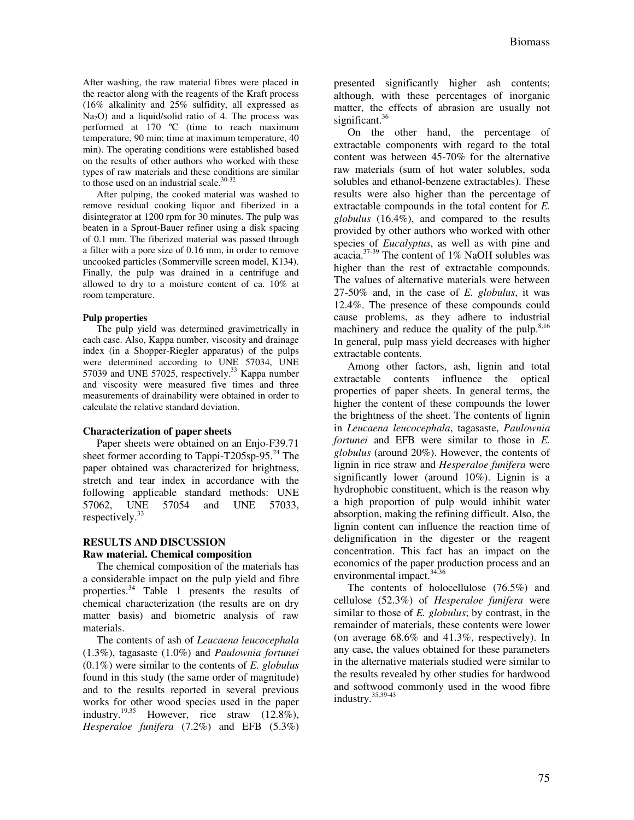After washing, the raw material fibres were placed in the reactor along with the reagents of the Kraft process (16% alkalinity and 25% sulfidity, all expressed as  $Na<sub>2</sub>O$ ) and a liquid/solid ratio of 4. The process was performed at 170 ºC (time to reach maximum temperature, 90 min; time at maximum temperature, 40 min). The operating conditions were established based on the results of other authors who worked with these types of raw materials and these conditions are similar to those used on an industrial scale. $30-32$ 

After pulping, the cooked material was washed to remove residual cooking liquor and fiberized in a disintegrator at 1200 rpm for 30 minutes. The pulp was beaten in a Sprout-Bauer refiner using a disk spacing of 0.1 mm. The fiberized material was passed through a filter with a pore size of 0.16 mm, in order to remove uncooked particles (Sommerville screen model, K134). Finally, the pulp was drained in a centrifuge and allowed to dry to a moisture content of ca. 10% at room temperature.

#### **Pulp properties**

The pulp yield was determined gravimetrically in each case. Also, Kappa number, viscosity and drainage index (in a Shopper-Riegler apparatus) of the pulps were determined according to UNE 57034, UNE 57039 and UNE 57025, respectively.<sup>33</sup> Kappa number and viscosity were measured five times and three measurements of drainability were obtained in order to calculate the relative standard deviation.

#### **Characterization of paper sheets**

Paper sheets were obtained on an Enjo-F39.71 sheet former according to Tappi-T205sp-95. $^{24}$  The paper obtained was characterized for brightness, stretch and tear index in accordance with the following applicable standard methods: UNE 57062, UNE 57054 and UNE 57033, respectively.<sup>33</sup>

# **RESULTS AND DISCUSSION Raw material. Chemical composition**

The chemical composition of the materials has a considerable impact on the pulp yield and fibre properties.<sup>34</sup> Table 1 presents the results of chemical characterization (the results are on dry matter basis) and biometric analysis of raw materials.

The contents of ash of *Leucaena leucocephala* (1.3%), tagasaste (1.0%) and *Paulownia fortunei* (0.1%) were similar to the contents of *E. globulus* found in this study (the same order of magnitude) and to the results reported in several previous works for other wood species used in the paper industry.<sup>19,35</sup> However, rice straw  $(12.8\%),$ *Hesperaloe funifera* (7.2%) and EFB (5.3%) presented significantly higher ash contents; although, with these percentages of inorganic matter, the effects of abrasion are usually not significant.<sup>36</sup>

On the other hand, the percentage of extractable components with regard to the total content was between 45-70% for the alternative raw materials (sum of hot water solubles, soda solubles and ethanol-benzene extractables). These results were also higher than the percentage of extractable compounds in the total content for *E. globulus* (16.4%), and compared to the results provided by other authors who worked with other species of *Eucalyptus*, as well as with pine and acacia.37-39 The content of 1% NaOH solubles was higher than the rest of extractable compounds. The values of alternative materials were between 27-50% and, in the case of *E. globulus*, it was 12.4%. The presence of these compounds could cause problems, as they adhere to industrial machinery and reduce the quality of the pulp. $8,16$ In general, pulp mass yield decreases with higher extractable contents.

Among other factors, ash, lignin and total extractable contents influence the optical properties of paper sheets. In general terms, the higher the content of these compounds the lower the brightness of the sheet. The contents of lignin in *Leucaena leucocephala*, tagasaste, *Paulownia fortunei* and EFB were similar to those in *E. globulus* (around 20%). However, the contents of lignin in rice straw and *Hesperaloe funifera* were significantly lower (around 10%). Lignin is a hydrophobic constituent, which is the reason why a high proportion of pulp would inhibit water absorption, making the refining difficult. Also, the lignin content can influence the reaction time of delignification in the digester or the reagent concentration. This fact has an impact on the economics of the paper production process and an environmental impact.<sup>34,36</sup>

The contents of holocellulose (76.5%) and cellulose (52.3%) of *Hesperaloe funifera* were similar to those of *E. globulus*; by contrast, in the remainder of materials, these contents were lower (on average 68.6% and 41.3%, respectively). In any case, the values obtained for these parameters in the alternative materials studied were similar to the results revealed by other studies for hardwood and softwood commonly used in the wood fibre industry.35,39-43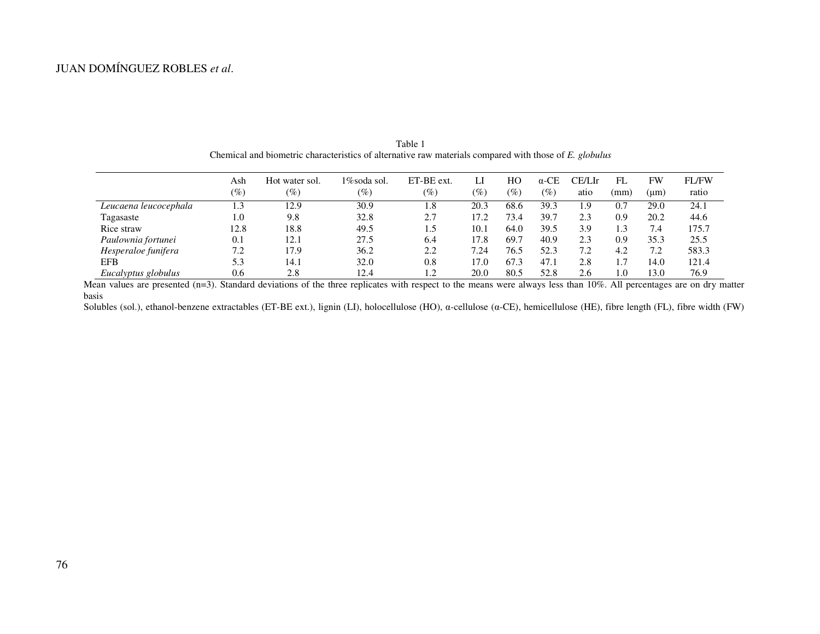|                       | Ash<br>$(\%)$ | Hot water sol.<br>(%) | 1%soda sol.<br>$\mathscr{O}_0$ | ET-BE ext.<br>$(\%)$ | $(\%)$ | HО<br>$\left( \% \right)$ | $\alpha$ -CE<br>$(\%)$ | CE/LIr<br>atio | FL<br>(mm) | <b>FW</b><br>(um) | FL/FW<br>ratio |
|-----------------------|---------------|-----------------------|--------------------------------|----------------------|--------|---------------------------|------------------------|----------------|------------|-------------------|----------------|
| Leucaena leucocephala | 1.3           | 12.9                  | 30.9                           | 1.8                  | 20.3   | 68.6                      | 39.3                   | 1.9            | 0.7        | 29.0              | 24.1           |
| Tagasaste             | 1.0           | 9.8                   | 32.8                           | 2.7                  | 17.2   | 73.4                      | 39.7                   | 2.3            | 0.9        | 20.2              | 44.6           |
| Rice straw            | 12.8          | 18.8                  | 49.5                           | 1.5                  | 10.1   | 64.0                      | 39.5                   | 3.9            | 1.3        | 7.4               | 175.7          |
| Paulownia fortunei    | 0.1           | 12.1                  | 27.5                           | 6.4                  | 17.8   | 69.7                      | 40.9                   | 2.3            | 0.9        | 35.3              | 25.5           |
| Hesperaloe funifera   | 7.2           | 17.9                  | 36.2                           | 2.2                  | 7.24   | 76.5                      | 52.3                   | 7.2            | 4.2        | 7.2               | 583.3          |
| EFB                   | 5.3           | 14.1                  | 32.0                           | 0.8                  | 17.0   | 67.3                      | 47.1                   | 2.8            | 1.7        | 14.0              | 121.4          |
| Eucalyptus globulus   | 0.6           | 2.8                   | 12.4                           | 1.2                  | 20.0   | 80.5                      | 52.8                   | 2.6            | $1.0\,$    | 13.0              | 76.9           |

Table 1 Chemical and biometric characteristics of alternative raw materials compared with those of *E. globulus*

Mean values are presented (n=3). Standard deviations of the three replicates with respect to the means were always less than 10%. All percentages are on dry matter basis

Solubles (sol.), ethanol-benzene extractables (ET-BE ext.), lignin (LI), holocellulose (HO), α-cellulose (α-CE), hemicellulose (HE), fibre length (FL), fibre width (FW)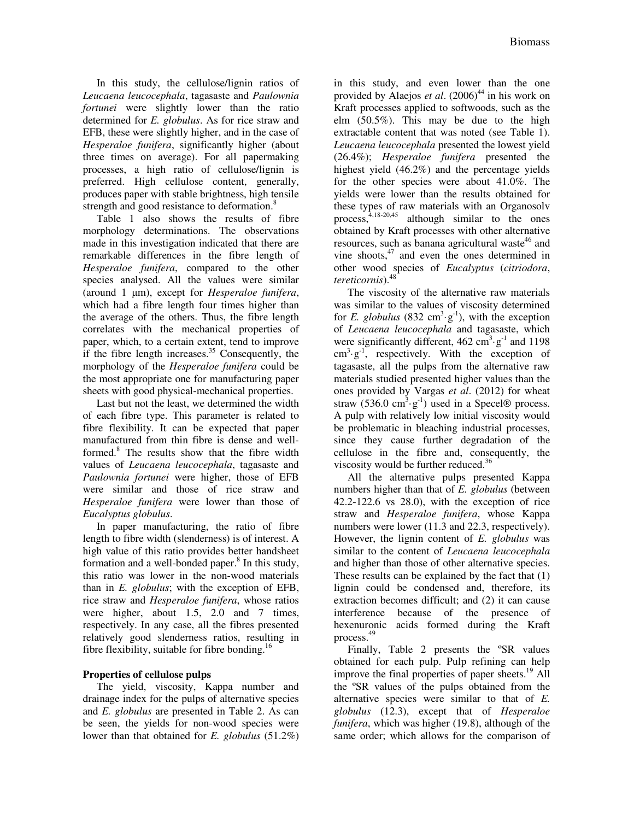In this study, the cellulose/lignin ratios of *Leucaena leucocephala*, tagasaste and *Paulownia fortunei* were slightly lower than the ratio determined for *E. globulus*. As for rice straw and EFB, these were slightly higher, and in the case of *Hesperaloe funifera*, significantly higher (about three times on average). For all papermaking processes, a high ratio of cellulose/lignin is preferred. High cellulose content, generally, produces paper with stable brightness, high tensile strength and good resistance to deformation.<sup>8</sup>

Table 1 also shows the results of fibre morphology determinations. The observations made in this investigation indicated that there are remarkable differences in the fibre length of *Hesperaloe funifera*, compared to the other species analysed. All the values were similar (around 1 µm), except for *Hesperaloe funifera*, which had a fibre length four times higher than the average of the others. Thus, the fibre length correlates with the mechanical properties of paper, which, to a certain extent, tend to improve if the fibre length increases. $35$  Consequently, the morphology of the *Hesperaloe funifera* could be the most appropriate one for manufacturing paper sheets with good physical-mechanical properties.

Last but not the least, we determined the width of each fibre type. This parameter is related to fibre flexibility. It can be expected that paper manufactured from thin fibre is dense and wellformed.<sup>8</sup> The results show that the fibre width values of *Leucaena leucocephala*, tagasaste and *Paulownia fortunei* were higher, those of EFB were similar and those of rice straw and *Hesperaloe funifera* were lower than those of *Eucalyptus globulus*.

In paper manufacturing, the ratio of fibre length to fibre width (slenderness) is of interest. A high value of this ratio provides better handsheet formation and a well-bonded paper. $8$  In this study, this ratio was lower in the non-wood materials than in *E. globulus*; with the exception of EFB, rice straw and *Hesperaloe funifera*, whose ratios were higher, about 1.5, 2.0 and 7 times, respectively. In any case, all the fibres presented relatively good slenderness ratios, resulting in fibre flexibility, suitable for fibre bonding.<sup>16</sup>

# **Properties of cellulose pulps**

The yield, viscosity, Kappa number and drainage index for the pulps of alternative species and *E. globulus* are presented in Table 2. As can be seen, the yields for non-wood species were lower than that obtained for *E. globulus* (51.2%)

in this study, and even lower than the one provided by Alaejos *et al.* (2006)<sup>44</sup> in his work on Kraft processes applied to softwoods, such as the elm (50.5%). This may be due to the high extractable content that was noted (see Table 1). *Leucaena leucocephala* presented the lowest yield (26.4%); *Hesperaloe funifera* presented the highest yield (46.2%) and the percentage yields for the other species were about 41.0%. The yields were lower than the results obtained for these types of raw materials with an Organosolv process, 4,18-20,45 although similar to the ones obtained by Kraft processes with other alternative resources, such as banana agricultural waste<sup>46</sup> and vine shoots, $47$  and even the ones determined in other wood species of *Eucalyptus* (*citriodora*, *tereticornis*).<sup>48</sup>

The viscosity of the alternative raw materials was similar to the values of viscosity determined for *E. globulus* (832 cm<sup>3</sup>·g<sup>-1</sup>), with the exception of *Leucaena leucocephala* and tagasaste, which were significantly different,  $462 \text{ cm}^3 \cdot \text{g}^{-1}$  and  $1198$  $\text{cm}^3 \text{·g}^{-1}$ , respectively. With the exception of tagasaste, all the pulps from the alternative raw materials studied presented higher values than the ones provided by Vargas *et al*. (2012) for wheat straw  $(536.0 \text{ cm}^3 \cdot \text{g}^{-1})$  used in a Specel® process. A pulp with relatively low initial viscosity would be problematic in bleaching industrial processes, since they cause further degradation of the cellulose in the fibre and, consequently, the viscosity would be further reduced.<sup>36</sup>

All the alternative pulps presented Kappa numbers higher than that of *E. globulus* (between 42.2-122.6 vs 28.0), with the exception of rice straw and *Hesperaloe funifera*, whose Kappa numbers were lower (11.3 and 22.3, respectively). However, the lignin content of *E. globulus* was similar to the content of *Leucaena leucocephala* and higher than those of other alternative species. These results can be explained by the fact that (1) lignin could be condensed and, therefore, its extraction becomes difficult; and (2) it can cause interference because of the presence of hexenuronic acids formed during the Kraft process. 49

Finally, Table 2 presents the ºSR values obtained for each pulp. Pulp refining can help improve the final properties of paper sheets.<sup>19</sup> All the ºSR values of the pulps obtained from the alternative species were similar to that of *E. globulus* (12.3), except that of *Hesperaloe funifera*, which was higher (19.8), although of the same order; which allows for the comparison of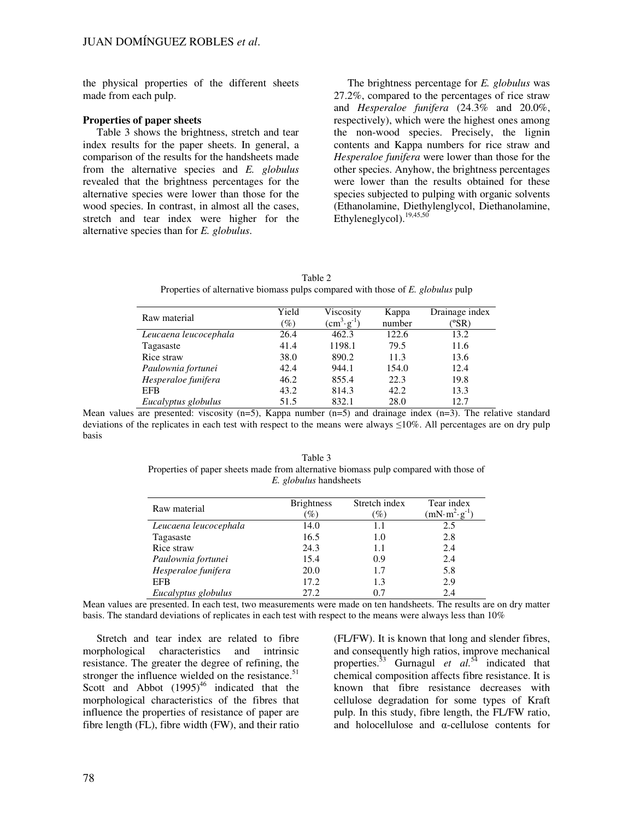the physical properties of the different sheets made from each pulp.

## **Properties of paper sheets**

Table 3 shows the brightness, stretch and tear index results for the paper sheets. In general, a comparison of the results for the handsheets made from the alternative species and *E. globulus* revealed that the brightness percentages for the alternative species were lower than those for the wood species. In contrast, in almost all the cases, stretch and tear index were higher for the alternative species than for *E. globulus*.

The brightness percentage for *E. globulus* was 27.2%, compared to the percentages of rice straw and *Hesperaloe funifera* (24.3% and 20.0%, respectively), which were the highest ones among the non-wood species. Precisely, the lignin contents and Kappa numbers for rice straw and *Hesperaloe funifera* were lower than those for the other species. Anyhow, the brightness percentages were lower than the results obtained for these species subjected to pulping with organic solvents (Ethanolamine, Diethylenglycol, Diethanolamine,  $Eth$ vleneglycol).<sup>19,45,50</sup>

Table 2 Properties of alternative biomass pulps compared with those of *E. globulus* pulp

| Raw material          | Yield<br>$\mathscr{G}_o$ | Viscosity<br>$\rm (cm^3 \cdot g^{-1})$ | Kappa<br>number | Drainage index<br>(°SR) |
|-----------------------|--------------------------|----------------------------------------|-----------------|-------------------------|
| Leucaena leucocephala | 26.4                     | 462.3                                  | 122.6           | 13.2                    |
| Tagasaste             | 41.4                     | 1198.1                                 | 79.5            | 11.6                    |
| Rice straw            | 38.0                     | 890.2                                  | 11.3            | 13.6                    |
| Paulownia fortunei    | 42.4                     | 944.1                                  | 154.0           | 12.4                    |
| Hesperaloe funifera   | 46.2                     | 855.4                                  | 22.3            | 19.8                    |
| <b>EFB</b>            | 43.2                     | 814.3                                  | 42.2            | 13.3                    |
| Eucalyptus globulus   | 51.5                     | 832.1                                  | 28.0            | 12.7                    |

Mean values are presented: viscosity  $(n=5)$ , Kappa number  $(n=5)$  and drainage index  $(n=3)$ . The relative standard deviations of the replicates in each test with respect to the means were always ≤10%. All percentages are on dry pulp basis

Table 3 Properties of paper sheets made from alternative biomass pulp compared with those of *E. globulus* handsheets

| Raw material          | <b>Brightness</b> | Stretch index | Tear index    |
|-----------------------|-------------------|---------------|---------------|
|                       | $\mathscr{O}_0$   | $\%$          | $(mN·m2·g-1)$ |
| Leucaena leucocephala | 14.0              | 1.1           | 2.5           |
| Tagasaste             | 16.5              | 1.0           | 2.8           |
| Rice straw            | 24.3              | 1.1           | 2.4           |
| Paulownia fortunei    | 15.4              | 0.9           | 2.4           |
| Hesperaloe funifera   | 20.0              | 1.7           | 5.8           |
| <b>EFB</b>            | 17.2              | 1.3           | 2.9           |
| Eucalyptus globulus   | 27.2              | 0.7           | 2.4           |

Mean values are presented. In each test, two measurements were made on ten handsheets. The results are on dry matter basis. The standard deviations of replicates in each test with respect to the means were always less than 10%

Stretch and tear index are related to fibre morphological characteristics and intrinsic resistance. The greater the degree of refining, the stronger the influence wielded on the resistance.<sup>51</sup> Scott and Abbot  $(1995)^{46}$  indicated that the morphological characteristics of the fibres that influence the properties of resistance of paper are fibre length (FL), fibre width (FW), and their ratio (FL/FW). It is known that long and slender fibres, and consequently high ratios, improve mechanical properties.<sup>53</sup> Gurnagul *et al.*<sup>54</sup> indicated that chemical composition affects fibre resistance. It is known that fibre resistance decreases with cellulose degradation for some types of Kraft pulp. In this study, fibre length, the FL/FW ratio, and holocellulose and  $\alpha$ -cellulose contents for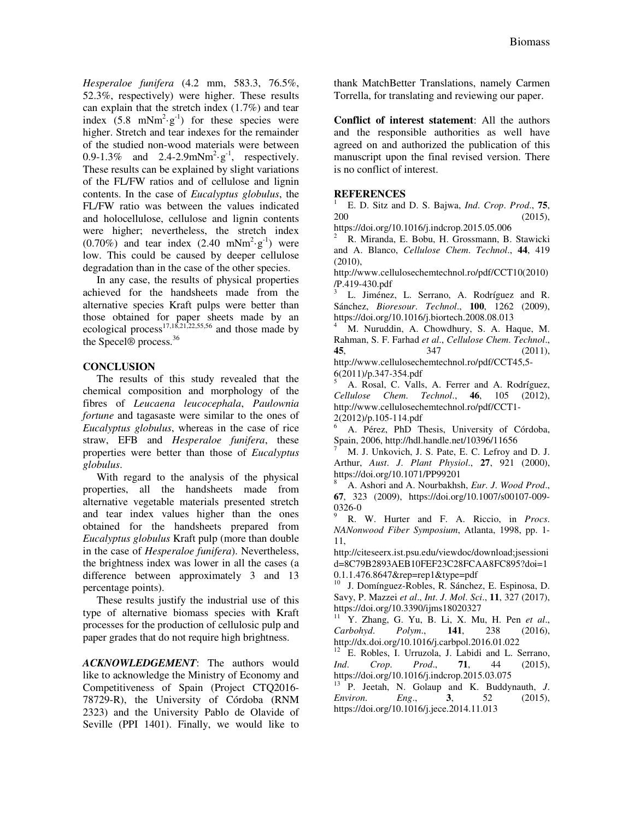*Hesperaloe funifera* (4.2 mm, 583.3, 76.5%, 52.3%, respectively) were higher. These results can explain that the stretch index (1.7%) and tear index  $(5.8 \text{ mNm}^2 \cdot \text{g}^{-1})$  for these species were higher. Stretch and tear indexes for the remainder of the studied non-wood materials were between 0.9-1.3% and  $2.4$ -2.9mNm<sup>2</sup>·g<sup>-1</sup>, respectively. These results can be explained by slight variations of the FL/FW ratios and of cellulose and lignin contents. In the case of *Eucalyptus globulus*, the FL/FW ratio was between the values indicated and holocellulose, cellulose and lignin contents were higher; nevertheless, the stretch index  $(0.70\%)$  and tear index  $(2.40 \text{ mNm}^2 \text{·g}^{-1})$  were low. This could be caused by deeper cellulose degradation than in the case of the other species.

In any case, the results of physical properties achieved for the handsheets made from the alternative species Kraft pulps were better than those obtained for paper sheets made by an ecological process<sup>17,18,21,22,55,56</sup> and those made by the Specel® process.<sup>36</sup>

# **CONCLUSION**

The results of this study revealed that the chemical composition and morphology of the fibres of *Leucaena leucocephala*, *Paulownia fortune* and tagasaste were similar to the ones of *Eucalyptus globulus*, whereas in the case of rice straw, EFB and *Hesperaloe funifera*, these properties were better than those of *Eucalyptus globulus*.

With regard to the analysis of the physical properties, all the handsheets made from alternative vegetable materials presented stretch and tear index values higher than the ones obtained for the handsheets prepared from *Eucalyptus globulus* Kraft pulp (more than double in the case of *Hesperaloe funifera*). Nevertheless, the brightness index was lower in all the cases (a difference between approximately 3 and 13 percentage points).

These results justify the industrial use of this type of alternative biomass species with Kraft processes for the production of cellulosic pulp and paper grades that do not require high brightness.

*ACKNOWLEDGEMENT*: The authors would like to acknowledge the Ministry of Economy and Competitiveness of Spain (Project CTQ2016- 78729-R), the University of Córdoba (RNM 2323) and the University Pablo de Olavide of Seville (PPI 1401). Finally, we would like to thank MatchBetter Translations, namely Carmen Torrella, for translating and reviewing our paper.

**Conflict of interest statement**: All the authors and the responsible authorities as well have agreed on and authorized the publication of this manuscript upon the final revised version. There is no conflict of interest.

# **REFERENCES**

1 E. D. Sitz and D. S. Bajwa, *Ind*. *Crop*. *Prod*., **75**,  $200$  (2015),

https://doi.org/10.1016/j.indcrop.2015.05.006 <sup>2</sup>R. Miranda, E. Bobu, H. Grossmann, B. Stawicki and A. Blanco, *Cellulose Chem*. *Technol*., **44**, 419 (2010),

http://www.cellulosechemtechnol.ro/pdf/CCT10(2010) /P.419-430.pdf

<sup>3</sup>L. Jiménez, L. Serrano, A. Rodríguez and R. Sánchez, *Bioresour*. *Technol*., **100**, 1262 (2009), https://doi.org/10.1016/j.biortech.2008.08.013

<sup>4</sup>M. Nuruddin, A. Chowdhury, S. A. Haque, M. Rahman, S. F. Farhad *et al*., *Cellulose Chem*. *Technol*., **45**, 347 (2011), http://www.cellulosechemtechnol.ro/pdf/CCT45,5- 6(2011)/p.347-354.pdf

<sup>5</sup>A. Rosal, C. Valls, A. Ferrer and A. Rodríguez, *Cellulose Chem*. *Technol*., **46**, 105 (2012), http://www.cellulosechemtechnol.ro/pdf/CCT1- 2(2012)/p.105-114.pdf

<sup>6</sup>A. Pérez, PhD Thesis, University of Córdoba, Spain, 2006, http://hdl.handle.net/10396/11656

M. J. Unkovich, J. S. Pate, E. C. Lefroy and D. J. Arthur, *Aust*. *J*. *Plant Physiol*., **27**, 921 (2000), https://doi.org/10.1071/PP99201

<sup>8</sup>A. Ashori and A. Nourbakhsh, *Eur*. *J*. *Wood Prod*., **67**, 323 (2009), https://doi.org/10.1007/s00107-009- 0326-0

<sup>9</sup>R. W. Hurter and F. A. Riccio, in *Procs*. *NANonwood Fiber Symposium*, Atlanta, 1998, pp. 1- 11,

http://citeseerx.ist.psu.edu/viewdoc/download;jsessioni d=8C79B2893AEB10FEF23C28FCAA8FC895?doi=1 0.1.1.476.8647&rep=rep1&type=pdf

J. Domínguez-Robles, R. Sánchez, E. Espinosa, D. Savy, P. Mazzei *et al*., *Int*. *J*. *Mol*. *Sci*., **11**, 327 (2017), https://doi.org/10.3390/ijms18020327

<sup>11</sup>Y. Zhang, G. Yu, B. Li, X. Mu, H. Pen *et al*., *Carbohyd*. *Polym*., **141**, 238 (2016), http://dx.doi.org/10.1016/j.carbpol.2016.01.022

 $12$  E. Robles, I. Urruzola, J. Labidi and L. Serrano, *Ind*. *Crop*. *Prod*., **71**, 44 (2015), https://doi.org/10.1016/j.indcrop.2015.03.075

<sup>13</sup> P. Jeetah, N. Golaup and K. Buddynauth, *J. Environ*. *Eng*., **3**, 52 (2015), https://doi.org/10.1016/j.jece.2014.11.013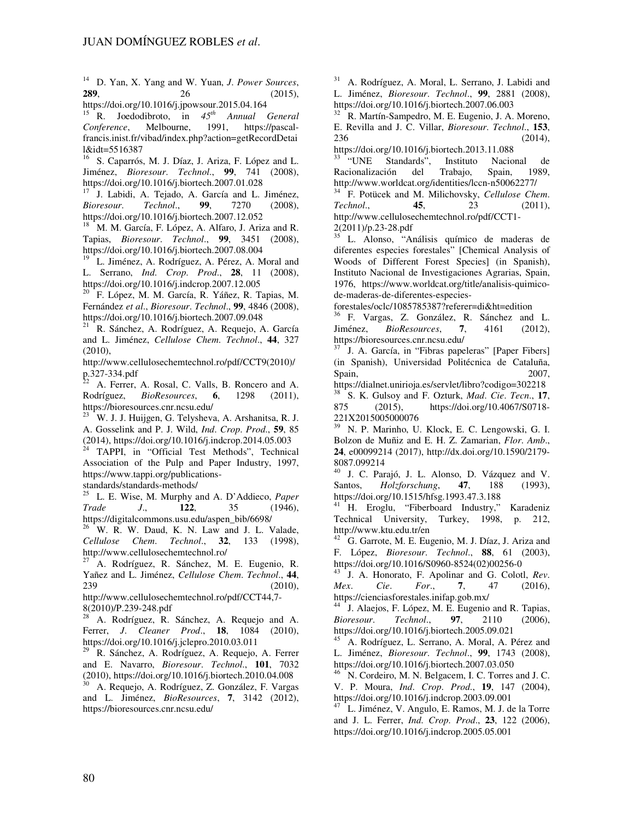<sup>14</sup>D. Yan, X. Yang and W. Yuan, *J*. *Power Sources*, **289**, 26 (2015),

https://doi.org/10.1016/j.jpowsour.2015.04.164 <sup>15</sup> R. Joedodibroto, in *45th Annual General Conference*, Melbourne, 1991, https://pascalfrancis.inist.fr/vibad/index.php?action=getRecordDetai l&idt=5516387

<sup>16</sup>S. Caparrós, M. J. Díaz, J. Ariza, F. López and L. Jiménez, *Bioresour*. *Technol*., **99**, 741 (2008), https://doi.org/10.1016/j.biortech.2007.01.028

 $17$  J. Labidi, A. Tejado, A. García and L. Jiménez, *Bioresour*. *Technol*., **99**, 7270 (2008), https://doi.org/10.1016/j.biortech.2007.12.052

<sup>18</sup> M. M. García, F. López, A. Alfaro, J. Ariza and R. Tapias, *Bioresour*. *Technol*., **99**, 3451 (2008), https://doi.org/10.1016/j.biortech.2007.08.004

L. Jiménez, A. Rodríguez, A. Pérez, A. Moral and L. Serrano, *Ind*. *Crop*. *Prod*., **28**, 11 (2008), https://doi.org/10.1016/j.indcrop.2007.12.005

<sup>20</sup>F. López, M. M. García, R. Yáñez, R. Tapias, M. Fernández *et al*., *Bioresour*. *Technol*., **99**, 4846 (2008), https://doi.org/10.1016/j.biortech.2007.09.048

<sup>21</sup> R. Sánchez, A. Rodríguez, A. Requejo, A. García and L. Jiménez, *Cellulose Chem*. *Technol*., **44**, 327 (2010),

http://www.cellulosechemtechnol.ro/pdf/CCT9(2010)/  $p.327-334.pdf$ 

A. Ferrer, A. Rosal, C. Valls, B. Roncero and A. Rodríguez, *BioResources*, **6**, 1298 (2011), https://bioresources.cnr.ncsu.edu/

<sup>23</sup> W. J. J. Huijgen, G. Telysheva, A. Arshanitsa, R. J. A. Gosselink and P. J. Wild, *Ind*. *Crop*. *Prod*., **59**, 85  $(2014)$ , https://doi.org/10.1016/j.indcrop.2014.05.003

<sup>24</sup>TAPPI, in "Official Test Methods", Technical Association of the Pulp and Paper Industry, 1997, https://www.tappi.org/publications-

standards/standards-methods/

<sup>25</sup>L. E. Wise, M. Murphy and A. D'Addieco, *Paper Trade J*., **122**, 35 (1946), https://digitalcommons.usu.edu/aspen\_bib/6698/

 $26$ <sup> $1$ </sup>W. R. W. Daud, K. N. Law and J. L. Valade, *Cellulose Chem*. *Technol*., **32**, 133 (1998), http://www.cellulosechemtechnol.ro/

<sup>27</sup> A. Rodríguez, R. Sánchez, M. E. Eugenio, R. Yañez and L. Jiménez, *Cellulose Chem*. *Technol*., **44**, 239 (2010),

http://www.cellulosechemtechnol.ro/pdf/CCT44,7- 8(2010)/P.239-248.pdf

<sup>28</sup>A. Rodríguez, R. Sánchez, A. Requejo and A. Ferrer, *J*. *Cleaner Prod*., **18**, 1084 (2010), https://doi.org/10.1016/j.jclepro.2010.03.011

<sup>29</sup> R. Sánchez, A. Rodríguez, A. Requejo, A. Ferrer and E. Navarro, *Bioresour*. *Technol*., **101**, 7032 (2010), https://doi.org/10.1016/j.biortech.2010.04.008

<sup>30</sup> A. Requejo, A. Rodríguez, Z. González, F. Vargas and L. Jiménez, *BioResources*, **7**, 3142 (2012), https://bioresources.cnr.ncsu.edu/

<sup>31</sup> A. Rodríguez, A. Moral, L. Serrano, J. Labidi and L. Jiménez, *Bioresour*. *Technol*., **99**, 2881 (2008), https://doi.org/10.1016/j.biortech.2007.06.003

R. Martín-Sampedro, M. E. Eugenio, J. A. Moreno, E. Revilla and J. C. Villar, *Bioresour*. *Technol*., **153**, 236 (2014),

https://doi.org/10.1016/j.biortech.2013.11.088 <sup>33</sup>"UNE Standards", Instituto Nacional de Racionalización del Trabajo, Spain, 1989, http://www.worldcat.org/identities/lccn-n50062277/

<sup>34</sup> F. Potücek and M. Milichovsky, *Cellulose Chem*. *Technol*., **45**, 23 (2011), http://www.cellulosechemtechnol.ro/pdf/CCT1- 2(2011)/p.23-28.pdf

<sup>35</sup>L. Alonso, "Análisis químico de maderas de diferentes especies forestales" [Chemical Analysis of Woods of Different Forest Species] (in Spanish), Instituto Nacional de Investigaciones Agrarias, Spain, 1976, https://www.worldcat.org/title/analisis-quimicode-maderas-de-diferentes-especies-

forestales/oclc/1085785387?referer=di&ht=edition

<sup>36</sup>F. Vargas, Z. González, R. Sánchez and L. Jiménez, *BioResources*, **7**, 4161 (2012), https://bioresources.cnr.ncsu.edu/

J. A. García, in "Fibras papeleras" [Paper Fibers] (in Spanish), Universidad Politécnica de Cataluña, Spain, 2007,

https://dialnet.unirioja.es/servlet/libro?codigo=302218 <sup>38</sup>S. K. Gulsoy and F. Ozturk, *Mad*. *Cie*. *Tecn*., **17**, 875 (2015), https://doi.org/10.4067/S0718- 221X2015005000076

<sup>39</sup>N. P. Marinho, U. Klock, E. C. Lengowski, G. I. Bolzon de Muñiz and E. H. Z. Zamarian, *Flor*. *Amb*., **24**, e00099214 (2017), http://dx.doi.org/10.1590/2179-  $8087.099214$ 

J. C. Parajó, J. L. Alonso, D. Vázquez and V. Santos, *Holzforschung*, **47**, 188 (1993), https://doi.org/10.1515/hfsg.1993.47.3.188

<sup>41</sup> H. Eroglu, "Fiberboard Industry," Karadeniz Technical University, Turkey, 1998, p. 212, http://www.ktu.edu.tr/en

<sup>42</sup> G. Garrote, M. E. Eugenio, M. J. Díaz, J. Ariza and F. López, *Bioresour*. *Technol*., **88**, 61 (2003), https://doi.org/10.1016/S0960-8524(02)00256-0

 $\frac{43}{J}$ . A. Honorato, F. Apolinar and G. Colotl, *Rev.*<br>*Mex. Cie. For.*, **7**, 47 (2016), *Mex*. *Cie*. *For*., **7**, 47 (2016), https://cienciasforestales.inifap.gob.mx/

J. Alaejos, F. López, M. E. Eugenio and R. Tapias, *Bioresour*. *Technol*., **97**, 2110 (2006), https://doi.org/10.1016/j.biortech.2005.09.021

<sup>45</sup>A. Rodríguez, L. Serrano, A. Moral, A. Pérez and L. Jiménez, *Bioresour*. *Technol*., **99**, 1743 (2008), https://doi.org/10.1016/j.biortech.2007.03.050

N. Cordeiro, M. N. Belgacem, I. C. Torres and J. C. V. P. Moura, *Ind*. *Crop*. *Prod*., **19**, 147 (2004), https://doi.org/10.1016/j.indcrop.2003.09.001

 $47$  L. Jiménez, V. Angulo, E. Ramos, M. J. de la Torre and J. L. Ferrer, *Ind*. *Crop*. *Prod*., **23**, 122 (2006), https://doi.org/10.1016/j.indcrop.2005.05.001